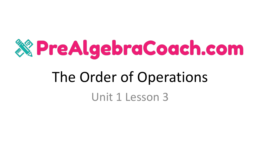

Unit 1 Lesson 3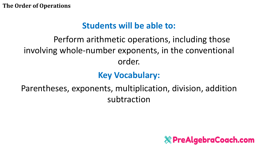### **Students will be able to:**

### Perform arithmetic operations, including those involving whole-number exponents, in the conventional order.

### **Key Vocabulary:**

Parentheses, exponents, multiplication, division, addition subtraction

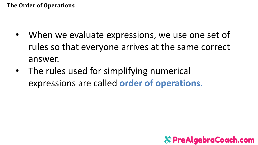- When we evaluate expressions, we use one set of rules so that everyone arrives at the same correct answer.
- The rules used for simplifying numerical expressions are called **order of operations**.

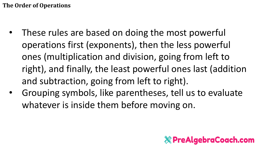- These rules are based on doing the most powerful operations first (exponents), then the less powerful ones (multiplication and division, going from left to right), and finally, the least powerful ones last (addition and subtraction, going from left to right).
- Grouping symbols, like parentheses, tell us to evaluate whatever is inside them before moving on.

### **External properties PreAlgebraCoach.com**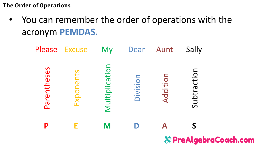• You can remember the order of operations with the acronym **PEMDAS.**

| Please      | <b>Excuse</b> | <b>My</b>      | Dear     | Aunt                             | Sally       |  |  |
|-------------|---------------|----------------|----------|----------------------------------|-------------|--|--|
| Parentheses | Exponents     | Multiplication | Division | Additio                          | Subtraction |  |  |
| P           |               | M              |          |                                  |             |  |  |
|             |               |                |          | <b>&amp; PreAlgebraCoach.com</b> |             |  |  |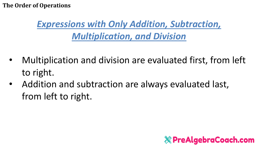## *Expressions with Only Addition, Subtraction, Multiplication, and Division*

- Multiplication and division are evaluated first, from left to right.
- Addition and subtraction are always evaluated last, from left to right.

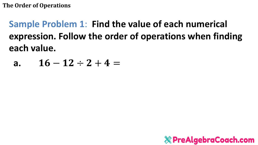**Sample Problem 1: Find the value of each numerical** expression. Follow the order of operations when finding each value.

a. 
$$
16-12 \div 2 + 4 =
$$

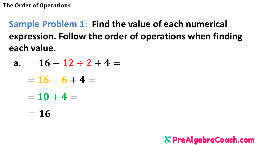**Sample Problem 1**: **Find the value of each numerical expression. Follow the order of operations when finding each value.**

- **a.**  $16 12 \div 2 + 4 =$ 
	- $= 16 6 + 4 =$
	- $= 10 + 4 =$
	- $= 16$

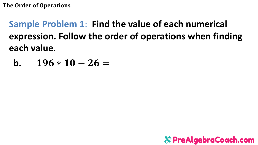Sample Problem 1: Find the value of each numerical expression. Follow the order of operations when finding each value.

b.  $196 * 10 - 26 =$ 

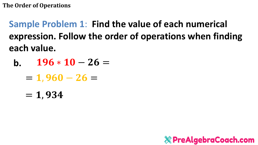**Sample Problem 1**: **Find the value of each numerical expression. Follow the order of operations when finding each value.**

- **b.**  $196 * 10 26 =$ 
	- $= 1,960 26 =$
	- $= 1,934$

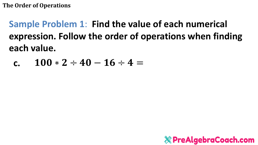Sample Problem 1: Find the value of each numerical expression. Follow the order of operations when finding each value.

c. 
$$
100 * 2 \div 40 - 16 \div 4 =
$$

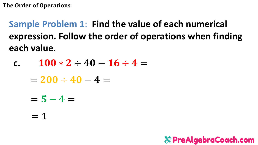Sample Problem 1: Find the value of each numerical expression. Follow the order of operations when finding each value.

- $100 * 2 \div 40 16 \div 4 =$  $\mathbf{C}$ 
	- $= 200 \div 40 4 =$
	- $= 5 4 =$
	- $= 1$

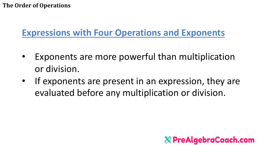### **Expressions with Four Operations and Exponents**

- Exponents are more powerful than multiplication or division.
- If exponents are present in an expression, they are evaluated before any multiplication or division.

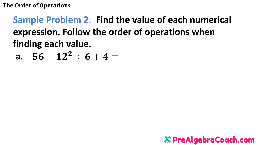## Sample Problem 2: Find the value of each numerical expression. Follow the order of operations when finding each value.

a. 
$$
56-12^2 \div 6 + 4 =
$$

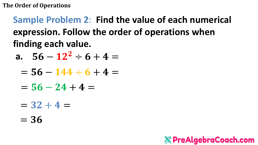## **Sample Problem 2**: **Find the value of each numerical expression. Follow the order of operations when finding each value.**

a. 
$$
56 - 12^2 \div 6 + 4 =
$$

$$
= 56 - 144 \div 6 + 4 =
$$

- $= 56 24 + 4 =$
- $= 32 + 4 =$
- $= 36$

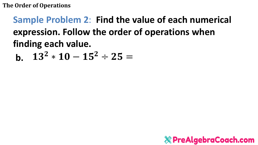## Sample Problem 2: Find the value of each numerical expression. Follow the order of operations when finding each value.

 $13^2 * 10 - 15^2 \div 25 =$  $h_{\cdot}$ 

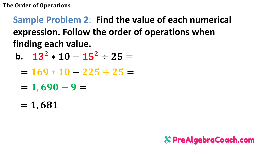## Sample Problem 2: Find the value of each numerical expression. Follow the order of operations when finding each value.

- b.  $13^2 \times 10 15^2 \div 25 =$ 
	- $= 169 * 10 225 \div 25 =$
	- $= 1,690 9 =$
	- $= 1,681$

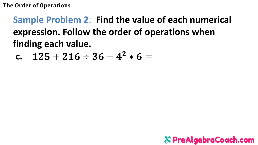## Sample Problem 2: Find the value of each numerical expression. Follow the order of operations when finding each value.

c. 
$$
125 + 216 \div 36 - 4^2 \times 6 =
$$

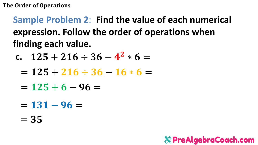## **Sample Problem 2**: **Find the value of each numerical expression. Follow the order of operations when finding each value.**

- c.  $125 + 216 \div 36 4^2 * 6 =$ 
	- $= 125 + 216 \div 36 16 * 6 =$
	- $= 125 + 6 96 =$
	- $= 131 96 =$
	- $= 35$

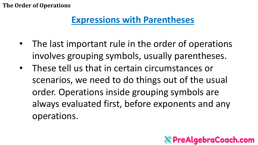### **Expressions with Parentheses**

- The last important rule in the order of operations involves grouping symbols, usually parentheses.
- These tell us that in certain circumstances or scenarios, we need to do things out of the usual order. Operations inside grouping symbols are always evaluated first, before exponents and any operations.

### **X PreAlgebraCoach.com**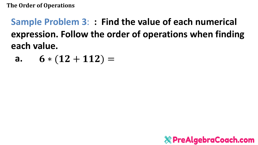## **Sample Problem 3**: **: Find the value of each numerical expression. Follow the order of operations when finding each value.**

a. 
$$
6*(12+112) =
$$

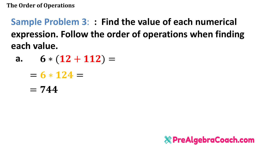**Sample Problem 3**: **: Find the value of each numerical expression. Follow the order of operations when finding each value.**

- **a.**  $6*(12+112)=$ 
	- $= 6 * 124 =$
	- $= 744$

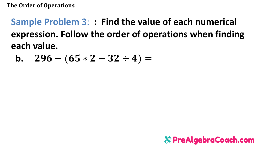Sample Problem 3:: Find the value of each numerical expression. Follow the order of operations when finding each value.

**b.** 
$$
296 - (65 * 2 - 32 \div 4) =
$$

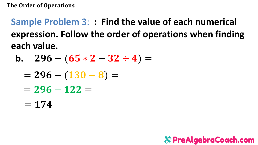**Sample Problem 3**: **: Find the value of each numerical expression. Follow the order of operations when finding each value.**

b. 
$$
296 - (65 * 2 - 32 \div 4) =
$$

- $= 296 (130 8) =$
- $= 296 122 =$
- $= 174$

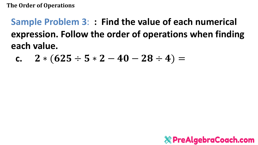Sample Problem 3:: Find the value of each numerical expression. Follow the order of operations when finding each value.

c. 
$$
2 * (625 \div 5 * 2 - 40 - 28 \div 4) =
$$

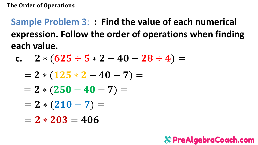**Sample Problem 3**: **: Find the value of each numerical expression. Follow the order of operations when finding each value.**

c. 
$$
2*(625 \div 5*2-40-28 \div 4)=
$$

$$
= 2 * (125 * 2 - 40 - 7) =
$$

$$
= 2 * (250 - 40 - 7) =
$$

$$
= 2 * (210 - 7) =
$$

 $= 2 * 203 = 406$ 

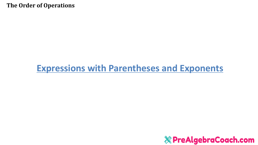### **Expressions with Parentheses and Exponents**

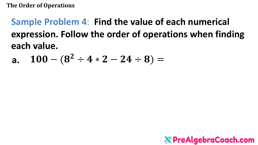## Sample Problem 4: Find the value of each numerical expression. Follow the order of operations when finding each value.

$$
\text{a.} \quad 100 - (8^2 \div 4 * 2 - 24 \div 8) =
$$

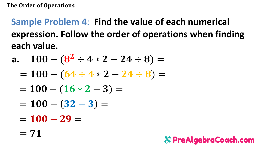**Sample Problem 4**: **Find the value of each numerical expression. Follow the order of operations when finding each value.**

a. 
$$
100 - (8^2 \div 4 \times 2 - 24 \div 8) =
$$

- $= 100 (64 \div 4 \times 2 24 \div 8) =$
- $= 100 (16 * 2 3) =$
- $= 100 (32 3) =$
- $= 100 29 =$
- $= 71$

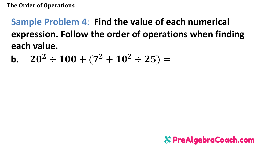Sample Problem 4: Find the value of each numerical expression. Follow the order of operations when finding each value.

**b.** 
$$
20^2 \div 100 + (7^2 + 10^2 \div 25) =
$$

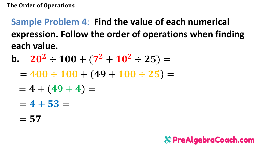**Sample Problem 4**: **Find the value of each numerical expression. Follow the order of operations when finding each value.**

- **b.**  $20^2 \div 100 + (7^2 + 10^2 \div 25) =$ 
	- $= 400 \div 100 + (49 + 100 \div 25) =$
	- $= 4 + (49 + 4) =$
	- $= 4 + 53 =$
	- $= 57$

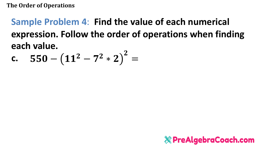#### Sample Problem 4: Find the value of each numerical expression. Follow the order of operations when finding each value.  $\sim$

c. 
$$
550 - (11^2 - 7^2 * 2)^2 =
$$